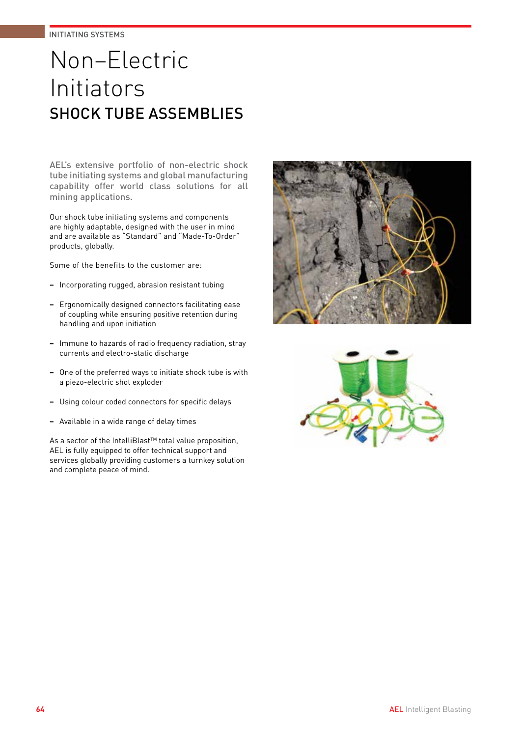# Non–Electric Initiators SHOCK TUBE ASSEMBLIES

AEL's extensive portfolio of non-electric shock tube initiating systems and global manufacturing capability offer world class solutions for all mining applications.

Our shock tube initiating systems and components are highly adaptable, designed with the user in mind and are available as "Standard" and "Made-To-Order" products, globally.

Some of the benefits to the customer are:

- **−** Incorporating rugged, abrasion resistant tubing
- **−** Ergonomically designed connectors facilitating ease of coupling while ensuring positive retention during handling and upon initiation
- **−** Immune to hazards of radio frequency radiation, stray currents and electro-static discharge
- **−** One of the preferred ways to initiate shock tube is with a piezo-electric shot exploder
- **−** Using colour coded connectors for specific delays
- **−** Available in a wide range of delay times

As a sector of the IntelliBlast™ total value proposition, AEL is fully equipped to offer technical support and services globally providing customers a turnkey solution and complete peace of mind.



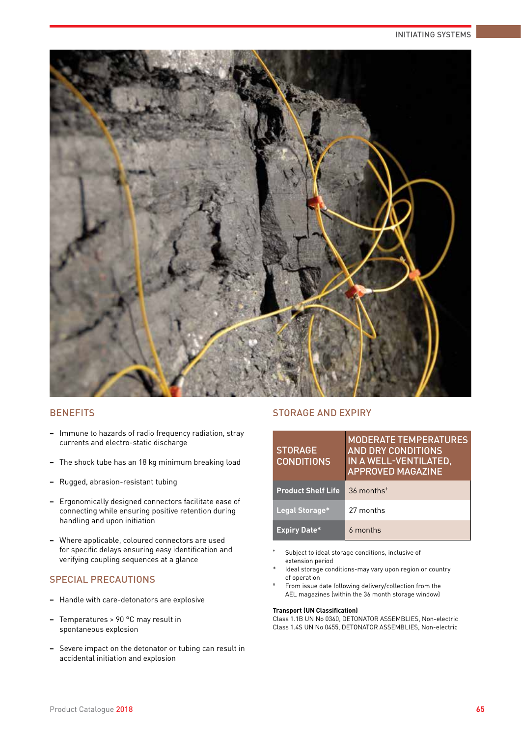#### INITIATING SYSTEMS



## **BENEFITS**

- **−** Immune to hazards of radio frequency radiation, stray currents and electro-static discharge
- **−** The shock tube has an 18 kg minimum breaking load
- **−** Rugged, abrasion-resistant tubing
- **−** Ergonomically designed connectors facilitate ease of connecting while ensuring positive retention during handling and upon initiation
- **−** Where applicable, coloured connectors are used for specific delays ensuring easy identification and verifying coupling sequences at a glance

## SPECIAL PRECAUTIONS

- **−** Handle with care-detonators are explosive
- **−** Temperatures > 90 °C may result in spontaneous explosion
- **−** Severe impact on the detonator or tubing can result in accidental initiation and explosion

## STORAGE AND EXPIRY

| <b>STORAGE</b><br><b>CONDITIONS</b> | <b>MODERATE TEMPERATURES</b><br><b>AND DRY CONDITIONS</b><br>IN A WELL-VENTILATED,<br><b>APPROVED MAGAZINE</b> |
|-------------------------------------|----------------------------------------------------------------------------------------------------------------|
| <b>Product Shelf Life</b>           | $36$ months <sup><math>+</math></sup>                                                                          |
| Legal Storage*                      | 27 months                                                                                                      |
| <b>Expiry Date*</b>                 | 6 months                                                                                                       |

- Subject to ideal storage conditions, inclusive of extension period
- Ideal storage conditions-may vary upon region or country of operation
- From issue date following delivery/collection from the AEL magazines (within the 36 month storage window)

#### **Transport (UN Classification)**

Class 1.1B UN No 0360, DETONATOR ASSEMBLIES, Non-electric Class 1.4S UN No 0455, DETONATOR ASSEMBLIES, Non-electric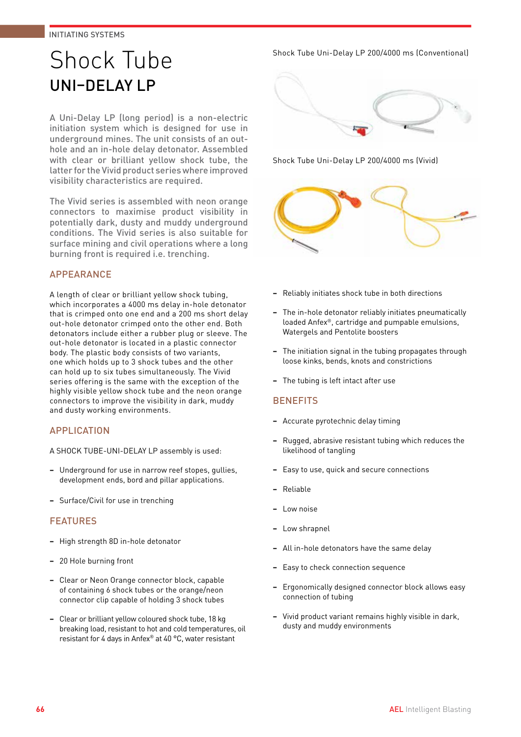# Shock Tube UNI–DELAY LP

A Uni-Delay LP (long period) is a non-electric initiation system which is designed for use in underground mines. The unit consists of an outhole and an in-hole delay detonator. Assembled with clear or brilliant yellow shock tube, the latter for the Vivid product series where improved visibility characteristics are required.

The Vivid series is assembled with neon orange connectors to maximise product visibility in potentially dark, dusty and muddy underground conditions. The Vivid series is also suitable for surface mining and civil operations where a long burning front is required i.e. trenching.

## APPEARANCE

A length of clear or brilliant yellow shock tubing, which incorporates a 4000 ms delay in-hole detonator that is crimped onto one end and a 200 ms short delay out-hole detonator crimped onto the other end. Both detonators include either a rubber plug or sleeve. The out-hole detonator is located in a plastic connector body. The plastic body consists of two variants, one which holds up to 3 shock tubes and the other can hold up to six tubes simultaneously. The Vivid series offering is the same with the exception of the highly visible yellow shock tube and the neon orange connectors to improve the visibility in dark, muddy and dusty working environments.

### APPLICATION

A SHOCK TUBE-UNI-DELAY LP assembly is used:

- **−** Underground for use in narrow reef stopes, gullies, development ends, bord and pillar applications.
- **−** Surface/Civil for use in trenching

### FEATURES

- **−** High strength 8D in-hole detonator
- **−** 20 Hole burning front
- **−** Clear or Neon Orange connector block, capable of containing 6 shock tubes or the orange/neon connector clip capable of holding 3 shock tubes
- **−** Clear or brilliant yellow coloured shock tube, 18 kg breaking load, resistant to hot and cold temperatures, oil resistant for 4 days in Anfex® at 40 °C, water resistant

Shock Tube Uni-Delay LP 200/4000 ms (Conventional)



Shock Tube Uni-Delay LP 200/4000 ms (Vivid)



- **−** Reliably initiates shock tube in both directions
- **−** The in-hole detonator reliably initiates pneumatically loaded Anfex®, cartridge and pumpable emulsions, Watergels and Pentolite boosters
- **−** The initiation signal in the tubing propagates through loose kinks, bends, knots and constrictions
- **−** The tubing is left intact after use

### **BENEFITS**

- **−** Accurate pyrotechnic delay timing
- **−** Rugged, abrasive resistant tubing which reduces the likelihood of tangling
- **−** Easy to use, quick and secure connections
- **−** Reliable
- **−** Low noise
- **−** Low shrapnel
- **−** All in-hole detonators have the same delay
- Easy to check connection sequence
- **−** Ergonomically designed connector block allows easy connection of tubing
- **−** Vivid product variant remains highly visible in dark, dusty and muddy environments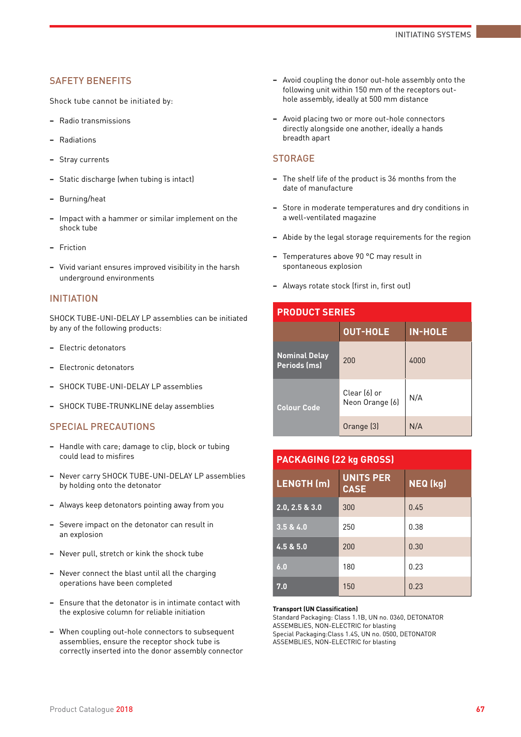### SAFETY BENEFITS

Shock tube cannot be initiated by:

- **−** Radio transmissions
- **−** Radiations
- **−** Stray currents
- **−** Static discharge (when tubing is intact)
- **−** Burning/heat
- **−** Impact with a hammer or similar implement on the shock tube
- **−** Friction
- **−** Vivid variant ensures improved visibility in the harsh underground environments

#### INITIATION

SHOCK TUBE-UNI-DELAY LP assemblies can be initiated by any of the following products:

- **−** Electric detonators
- **−** Electronic detonators
- **−** SHOCK TUBE-UNI-DELAY LP assemblies
- **−** SHOCK TUBE-TRUNKLINE delay assemblies

#### SPECIAL PRECAUTIONS

- **−** Handle with care; damage to clip, block or tubing could lead to misfires
- **−** Never carry SHOCK TUBE-UNI-DELAY LP assemblies by holding onto the detonator
- **−** Always keep detonators pointing away from you
- **−** Severe impact on the detonator can result in an explosion
- **−** Never pull, stretch or kink the shock tube
- **−** Never connect the blast until all the charging operations have been completed
- **−** Ensure that the detonator is in intimate contact with the explosive column for reliable initiation
- **−** When coupling out-hole connectors to subsequent assemblies, ensure the receptor shock tube is correctly inserted into the donor assembly connector
- **−** Avoid coupling the donor out-hole assembly onto the following unit within 150 mm of the receptors outhole assembly, ideally at 500 mm distance
- **−** Avoid placing two or more out-hole connectors directly alongside one another, ideally a hands breadth apart

### **STORAGE**

- **−** The shelf life of the product is 36 months from the date of manufacture
- **−** Store in moderate temperatures and dry conditions in a well-ventilated magazine
- **−** Abide by the legal storage requirements for the region
- **−** Temperatures above 90 °C may result in spontaneous explosion
- **−** Always rotate stock (first in, first out)

| <b>PRODUCT SERIES</b>                |                                 |                |  |  |
|--------------------------------------|---------------------------------|----------------|--|--|
|                                      | <b>OUT-HOLE</b>                 | <b>IN-HOLE</b> |  |  |
| <b>Nominal Delay</b><br>Periods (ms) | 200                             | 4000           |  |  |
| <b>Colour Code</b>                   | Clear (6) or<br>Neon Orange [6] | N/A            |  |  |
|                                      | Orange (3)                      | N/A            |  |  |

| <b>PACKAGING (22 kg GROSS)</b> |                                 |          |  |  |  |
|--------------------------------|---------------------------------|----------|--|--|--|
| LENGTH (m)                     | <b>UNITS PER</b><br><b>CASE</b> | NEQ (kg) |  |  |  |
| 2.0, 2.5 & 3.0                 | 300                             | 0.45     |  |  |  |
| 3.5 & 4.0                      | 250                             | 0.38     |  |  |  |
| 4.5 & 5.0                      | 200                             | 0.30     |  |  |  |
| 6.0                            | 180                             | 0.23     |  |  |  |
| 7.0                            | 150                             | 0.23     |  |  |  |

#### **Transport (UN Classification)**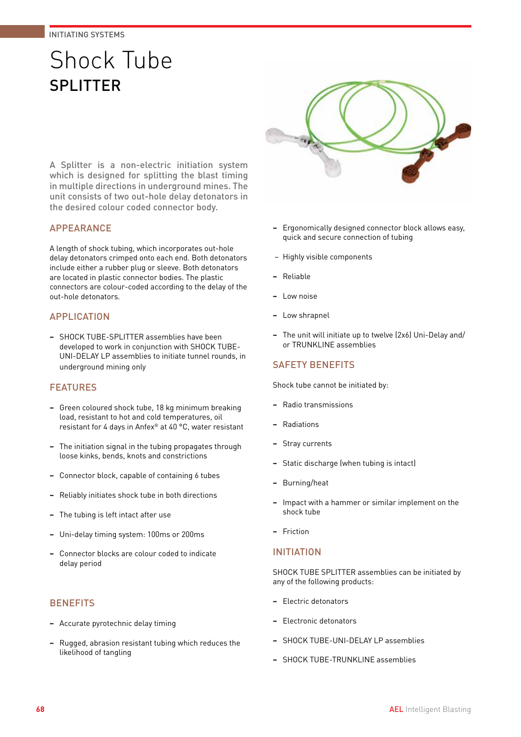# Shock Tube SPLITTER

A Splitter is a non-electric initiation system which is designed for splitting the blast timing in multiple directions in underground mines. The unit consists of two out-hole delay detonators in the desired colour coded connector body.

## APPEARANCE

A length of shock tubing, which incorporates out-hole delay detonators crimped onto each end. Both detonators include either a rubber plug or sleeve. Both detonators are located in plastic connector bodies. The plastic connectors are colour-coded according to the delay of the out-hole detonators.

## APPLICATION

**−** SHOCK TUBE-SPLITTER assemblies have been developed to work in conjunction with SHOCK TUBE-UNI-DELAY LP assemblies to initiate tunnel rounds, in underground mining only

### FEATURES

- **−** Green coloured shock tube, 18 kg minimum breaking load, resistant to hot and cold temperatures, oil resistant for 4 days in Anfex® at 40 °C, water resistant
- **−** The initiation signal in the tubing propagates through loose kinks, bends, knots and constrictions
- **−** Connector block, capable of containing 6 tubes
- **−** Reliably initiates shock tube in both directions
- **−** The tubing is left intact after use
- **−** Uni-delay timing system: 100ms or 200ms
- **−** Connector blocks are colour coded to indicate delay period

### **BENEFITS**

- **−** Accurate pyrotechnic delay timing
- **−** Rugged, abrasion resistant tubing which reduces the likelihood of tangling



- **−** Ergonomically designed connector block allows easy, quick and secure connection of tubing
- − Highly visible components
- **−** Reliable
- **−** Low noise
- **−** Low shrapnel
- **−** The unit will initiate up to twelve (2x6) Uni-Delay and/ or TRUNKLINE assemblies

## SAFETY BENEFITS

Shock tube cannot be initiated by:

- **−** Radio transmissions
- **−** Radiations
- **−** Stray currents
- **−** Static discharge (when tubing is intact)
- **−** Burning/heat
- **−** Impact with a hammer or similar implement on the shock tube
- **−** Friction

### INITIATION

SHOCK TUBE SPLITTER assemblies can be initiated by any of the following products:

- **−** Electric detonators
- **−** Electronic detonators
- **−** SHOCK TUBE-UNI-DELAY LP assemblies
- **−** SHOCK TUBE-TRUNKLINE assemblies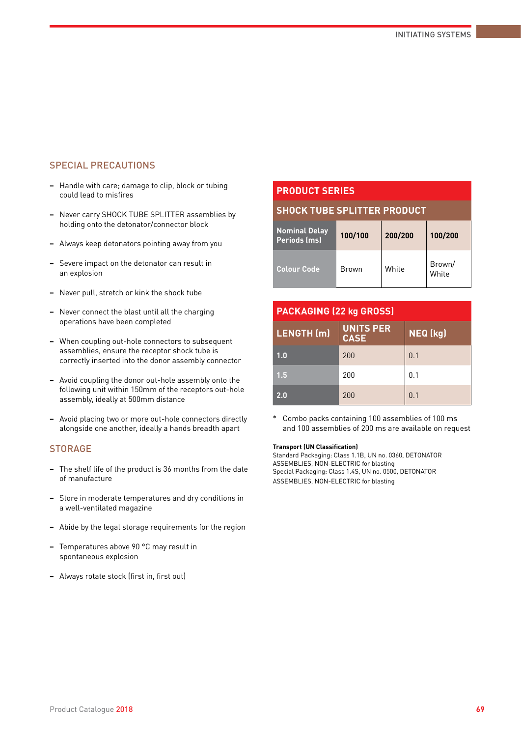## SPECIAL PRECAUTIONS

- **−** Handle with care; damage to clip, block or tubing could lead to misfires
- **−** Never carry SHOCK TUBE SPLITTER assemblies by holding onto the detonator/connector block
- **−** Always keep detonators pointing away from you
- **−** Severe impact on the detonator can result in an explosion
- **−** Never pull, stretch or kink the shock tube
- **−** Never connect the blast until all the charging operations have been completed
- **−** When coupling out-hole connectors to subsequent assemblies, ensure the receptor shock tube is correctly inserted into the donor assembly connector
- **−** Avoid coupling the donor out-hole assembly onto the following unit within 150mm of the receptors out-hole assembly, ideally at 500mm distance
- **−** Avoid placing two or more out-hole connectors directly alongside one another, ideally a hands breadth apart

#### **STORAGE**

- **−** The shelf life of the product is 36 months from the date of manufacture
- **−** Store in moderate temperatures and dry conditions in a well-ventilated magazine
- **−** Abide by the legal storage requirements for the region
- **−** Temperatures above 90 °C may result in spontaneous explosion
- **−** Always rotate stock (first in, first out)

## **PRODUCT SERIES**

#### **SHOCK TUBE SPLITTER PRODUCT**

| <b>Nominal Delay</b><br>Periods (ms) | 100/100      | 200/200 | 100/200         |
|--------------------------------------|--------------|---------|-----------------|
| <b>Colour Code</b>                   | <b>Brown</b> | White   | Brown/<br>White |

| <b>PACKAGING (22 kg GROSS)</b> |                                 |          |  |  |  |
|--------------------------------|---------------------------------|----------|--|--|--|
| LENGTH (m)                     | <b>UNITS PER</b><br><b>CASE</b> | NEQ (kg) |  |  |  |
| 1.0                            | 200                             | 0.1      |  |  |  |
| 1.5                            | 200                             | 0.1      |  |  |  |
| 2.0                            | 200                             | 0.1      |  |  |  |

\* Combo packs containing 100 assemblies of 100 ms and 100 assemblies of 200 ms are available on request

#### **Transport (UN Classification)**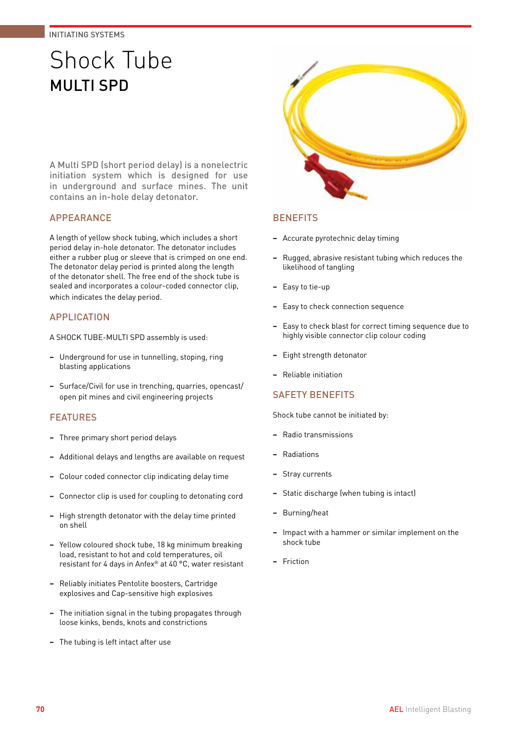# Shock Tube MUITI SPD

A Multi SPD (short period delay) is a nonelectric initiation system which is designed for use in underground and surface mines. The unit contains an in-hole delay detonator.

## APPEARANCE

A length of yellow shock tubing, which includes a short period delay in-hole detonator. The detonator includes either a rubber plug or sleeve that is crimped on one end. The detonator delay period is printed along the length of the detonator shell. The free end of the shock tube is sealed and incorporates a colour-coded connector clip, which indicates the delay period.

## APPLICATION

A SHOCK TUBE-MULTI SPD assembly is used:

- **−** Underground for use in tunnelling, stoping, ring blasting applications
- **−** Surface/Civil for use in trenching, quarries, opencast/ open pit mines and civil engineering projects

## FEATURES

- **−** Three primary short period delays
- **−** Additional delays and lengths are available on request
- **−** Colour coded connector clip indicating delay time
- **−** Connector clip is used for coupling to detonating cord
- **−** High strength detonator with the delay time printed on shell
- **−** Yellow coloured shock tube, 18 kg minimum breaking load, resistant to hot and cold temperatures, oil resistant for 4 days in Anfex® at 40 °C, water resistant
- **−** Reliably initiates Pentolite boosters, Cartridge explosives and Cap-sensitive high explosives
- **−** The initiation signal in the tubing propagates through loose kinks, bends, knots and constrictions
- **−** The tubing is left intact after use



## **BENEFITS**

- **−** Accurate pyrotechnic delay timing
- **−** Rugged, abrasive resistant tubing which reduces the likelihood of tangling
- **−** Easy to tie-up
- **−** Easy to check connection sequence
- **−** Easy to check blast for correct timing sequence due to highly visible connector clip colour coding
- **−** Eight strength detonator
- **−** Reliable initiation

### SAFETY BENEFITS

- **−** Radio transmissions
- **−** Radiations
- **−** Stray currents
- **−** Static discharge (when tubing is intact)
- **−** Burning/heat
- **−** Impact with a hammer or similar implement on the shock tube
- **−** Friction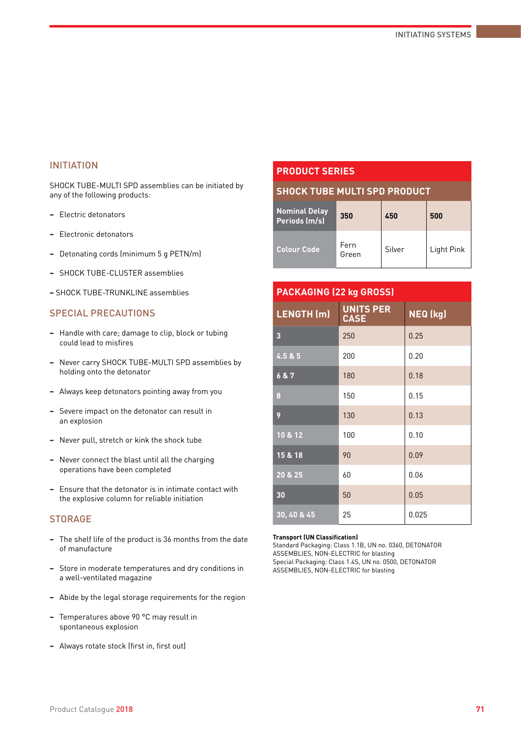SHOCK TUBE-MULTI SPD assemblies can be initiated by any of the following products:

- **−** Electric detonators
- **−** Electronic detonators
- **−** Detonating cords (minimum 5 g PETN/m)
- **−** SHOCK TUBE-CLUSTER assemblies
- **−** SHOCK TUBE-TRUNKLINE assemblies

## SPECIAL PRECAUTIONS

- **−** Handle with care; damage to clip, block or tubing could lead to misfires
- **−** Never carry SHOCK TUBE-MULTI SPD assemblies by holding onto the detonator
- **−** Always keep detonators pointing away from you
- **−** Severe impact on the detonator can result in an explosion
- **−** Never pull, stretch or kink the shock tube
- **−** Never connect the blast until all the charging operations have been completed
- **−** Ensure that the detonator is in intimate contact with the explosive column for reliable initiation

#### **STORAGE**

- **−** The shelf life of the product is 36 months from the date of manufacture
- **−** Store in moderate temperatures and dry conditions in a well-ventilated magazine
- **−** Abide by the legal storage requirements for the region
- **−** Temperatures above 90 °C may result in spontaneous explosion
- **−** Always rotate stock (first in, first out)

## **PRODUCT SERIES**

#### **SHOCK TUBE MULTI SPD PRODUCT**

| Nominal Delay<br>Periods (m/s) | 350           | 450    | 500        |
|--------------------------------|---------------|--------|------------|
| <b>Colour Code</b>             | Fern<br>Green | Silver | Light Pink |

| <b>PACKAGING (22 kg GROSS)</b> |                                 |          |  |  |  |
|--------------------------------|---------------------------------|----------|--|--|--|
| LENGTH (m)                     | <b>UNITS PER</b><br><b>CASE</b> | NEQ (kg) |  |  |  |
| 3                              | 250                             | 0.25     |  |  |  |
| 4.5 & 5                        | 200                             | 0.20     |  |  |  |
| 6 & 7                          | 180                             | 0.18     |  |  |  |
| 8                              | 150                             | 0.15     |  |  |  |
| 9                              | 130                             | 0.13     |  |  |  |
| 10 & 12                        | 100                             | 0.10     |  |  |  |
| 15 & 18                        | 90                              | 0.09     |  |  |  |
| 20 & 25                        | 60                              | 0.06     |  |  |  |
| 30                             | 50                              | 0.05     |  |  |  |
| 30, 40 & 45                    | 25                              | 0.025    |  |  |  |

#### **Transport (UN Classification)**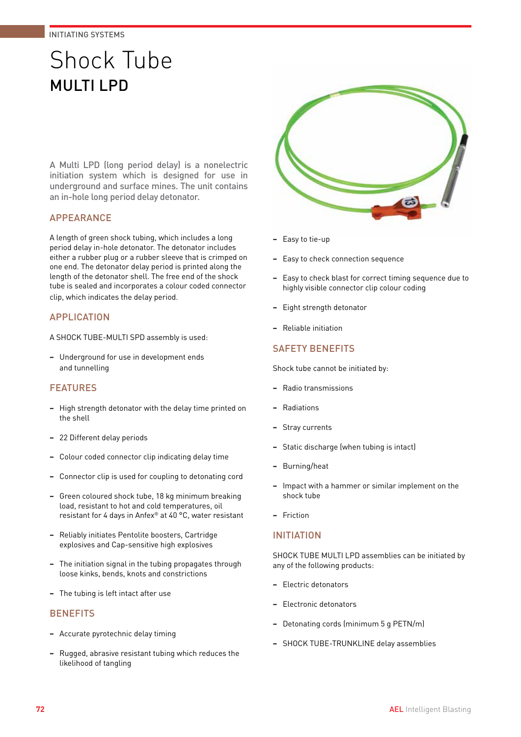# Shock Tube MULTI LPD

A Multi LPD (long period delay) is a nonelectric initiation system which is designed for use in underground and surface mines. The unit contains an in-hole long period delay detonator.

## APPEARANCE

A length of green shock tubing, which includes a long period delay in-hole detonator. The detonator includes either a rubber plug or a rubber sleeve that is crimped on one end. The detonator delay period is printed along the length of the detonator shell. The free end of the shock tube is sealed and incorporates a colour coded connector clip, which indicates the delay period.

## APPLICATION

A SHOCK TUBE-MULTI SPD assembly is used:

**−** Underground for use in development ends and tunnelling

## FEATURES

- **−** High strength detonator with the delay time printed on the shell
- **−** 22 Different delay periods
- **−** Colour coded connector clip indicating delay time
- **−** Connector clip is used for coupling to detonating cord
- **−** Green coloured shock tube, 18 kg minimum breaking load, resistant to hot and cold temperatures, oil resistant for 4 days in Anfex® at 40 °C, water resistant
- **−** Reliably initiates Pentolite boosters, Cartridge explosives and Cap-sensitive high explosives
- **−** The initiation signal in the tubing propagates through loose kinks, bends, knots and constrictions
- **−** The tubing is left intact after use

### **BENEFITS**

- **−** Accurate pyrotechnic delay timing
- **−** Rugged, abrasive resistant tubing which reduces the likelihood of tangling



- **−** Easy to tie-up
- **−** Easy to check connection sequence
- **−** Easy to check blast for correct timing sequence due to highly visible connector clip colour coding
- **−** Eight strength detonator
- **−** Reliable initiation

## SAFETY BENEFITS

Shock tube cannot be initiated by:

- **−** Radio transmissions
- **−** Radiations
- **−** Stray currents
- **−** Static discharge (when tubing is intact)
- **−** Burning/heat
- **−** Impact with a hammer or similar implement on the shock tube
- **−** Friction

### INITIATION

SHOCK TUBE MULTI LPD assemblies can be initiated by any of the following products:

- **−** Electric detonators
- **−** Electronic detonators
- **−** Detonating cords (minimum 5 g PETN/m)
- **−** SHOCK TUBE-TRUNKLINE delay assemblies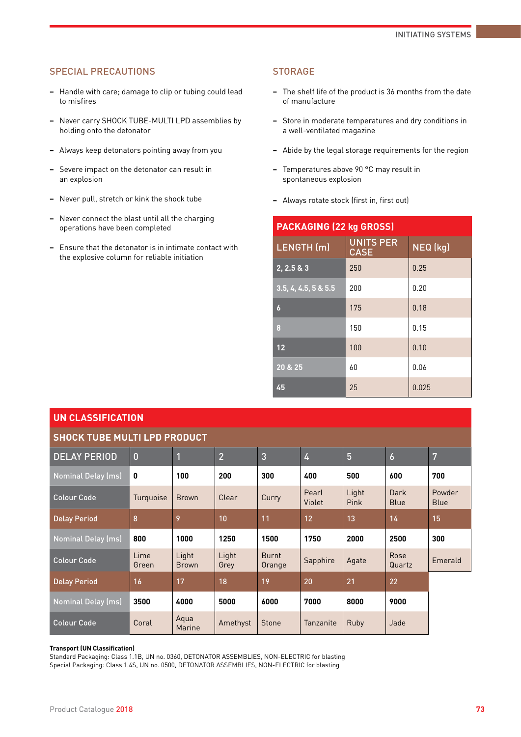### SPECIAL PRECAUTIONS

- **−** Handle with care; damage to clip or tubing could lead to misfires
- **−** Never carry SHOCK TUBE-MULTI LPD assemblies by holding onto the detonator
- **−** Always keep detonators pointing away from you
- **−** Severe impact on the detonator can result in an explosion
- **−** Never pull, stretch or kink the shock tube
- **−** Never connect the blast until all the charging operations have been completed
- **−** Ensure that the detonator is in intimate contact with the explosive column for reliable initiation

#### **STORAGE**

- **−** The shelf life of the product is 36 months from the date of manufacture
- **−** Store in moderate temperatures and dry conditions in a well-ventilated magazine
- **−** Abide by the legal storage requirements for the region
- **−** Temperatures above 90 °C may result in spontaneous explosion
- **−** Always rotate stock (first in, first out)

| <b>PACKAGING (22 kg GROSS)</b> |                                 |          |  |  |
|--------------------------------|---------------------------------|----------|--|--|
| LENGTH (m)                     | <b>UNITS PER</b><br><b>CASE</b> | NEQ (kg) |  |  |
| 2, 2.5 & 3                     | 250                             | 0.25     |  |  |
| 3.5, 4, 4.5, 5 & 5.5           | 200                             | 0.20     |  |  |
| 6                              | 175                             | 0.18     |  |  |
| 8                              | 150                             | 0.15     |  |  |
| 12                             | 100                             | 0.10     |  |  |
| 20 & 25                        | 60                              | 0.06     |  |  |
| 45                             | 25                              | 0.025    |  |  |

| <b>UN CLASSIFICATION</b>            |                |                         |                |                        |                 |                      |                     |                       |
|-------------------------------------|----------------|-------------------------|----------------|------------------------|-----------------|----------------------|---------------------|-----------------------|
| <b>SHOCK TUBE MULTI LPD PRODUCT</b> |                |                         |                |                        |                 |                      |                     |                       |
| <b>DELAY PERIOD</b>                 | $\overline{0}$ | $\overline{\mathbf{1}}$ | $\overline{2}$ | $\overline{3}$         | 4               | 5                    | $\boldsymbol{6}$    | 7                     |
| <b>Nominal Delay (ms)</b>           | 0              | 100                     | 200            | 300                    | 400             | 500                  | 600                 | 700                   |
| <b>Colour Code</b>                  | Turquoise      | <b>Brown</b>            | Clear          | Curry                  | Pearl<br>Violet | Light<br><b>Pink</b> | Dark<br><b>Blue</b> | Powder<br><b>Blue</b> |
| <b>Delay Period</b>                 | 8              | 9                       | 10             | 11                     | 12              | 13                   | 14                  | 15                    |
| <b>Nominal Delay (ms)</b>           | 800            | 1000                    | 1250           | 1500                   | 1750            | 2000                 | 2500                | 300                   |
| <b>Colour Code</b>                  | Lime<br>Green  | Light<br><b>Brown</b>   | Light<br>Grey  | <b>Burnt</b><br>Orange | Sapphire        | Agate                | Rose<br>Quartz      | Emerald               |
| <b>Delay Period</b>                 | 16             | 17                      | 18             | 19                     | 20              | 21                   | 22                  |                       |
| <b>Nominal Delay (ms)</b>           | 3500           | 4000                    | 5000           | 6000                   | 7000            | 8000                 | 9000                |                       |
| <b>Colour Code</b>                  | Coral          | Aqua<br>Marine          | Amethyst       | <b>Stone</b>           | Tanzanite       | Ruby                 | Jade                |                       |

#### **Transport (UN Classification)**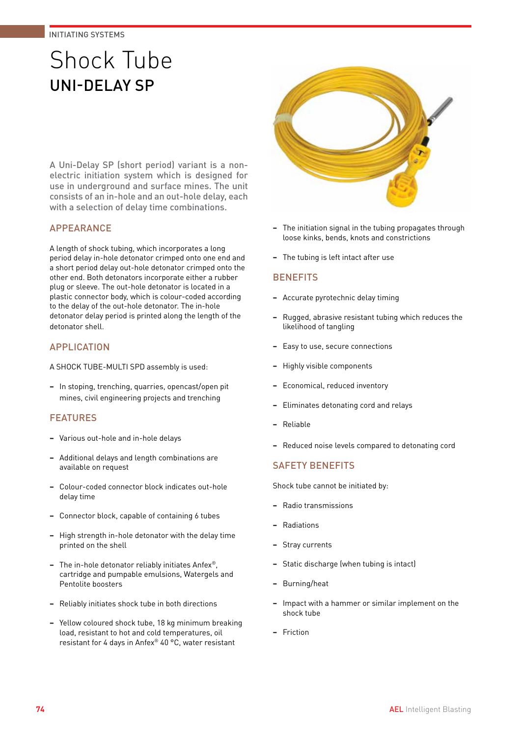# Shock Tube UNI-DELAY SP

A Uni-Delay SP (short period) variant is a nonelectric initiation system which is designed for use in underground and surface mines. The unit consists of an in-hole and an out-hole delay, each with a selection of delay time combinations.

## APPEARANCE

A length of shock tubing, which incorporates a long period delay in-hole detonator crimped onto one end and a short period delay out-hole detonator crimped onto the other end. Both detonators incorporate either a rubber plug or sleeve. The out-hole detonator is located in a plastic connector body, which is colour-coded according to the delay of the out-hole detonator. The in-hole detonator delay period is printed along the length of the detonator shell.

## APPLICATION

A SHOCK TUBE-MULTI SPD assembly is used:

**−** In stoping, trenching, quarries, opencast/open pit mines, civil engineering projects and trenching

## FEATURES

- **−** Various out-hole and in-hole delays
- **−** Additional delays and length combinations are available on request
- **−** Colour-coded connector block indicates out-hole delay time
- **−** Connector block, capable of containing 6 tubes
- **−** High strength in-hole detonator with the delay time printed on the shell
- **−** The in-hole detonator reliably initiates Anfex®, cartridge and pumpable emulsions, Watergels and Pentolite boosters
- **−** Reliably initiates shock tube in both directions
- **−** Yellow coloured shock tube, 18 kg minimum breaking load, resistant to hot and cold temperatures, oil resistant for 4 days in Anfex® 40 °C, water resistant



- **−** The initiation signal in the tubing propagates through loose kinks, bends, knots and constrictions
- **−** The tubing is left intact after use

### **BENEFITS**

- **−** Accurate pyrotechnic delay timing
- **−** Rugged, abrasive resistant tubing which reduces the likelihood of tangling
- **−** Easy to use, secure connections
- **−** Highly visible components
- **−** Economical, reduced inventory
- **−** Eliminates detonating cord and relays
- **−** Reliable
- **−** Reduced noise levels compared to detonating cord

## SAFETY BENEFITS

- **−** Radio transmissions
- **−** Radiations
- **−** Stray currents
- **−** Static discharge (when tubing is intact)
- **−** Burning/heat
- **−** Impact with a hammer or similar implement on the shock tube
- **−** Friction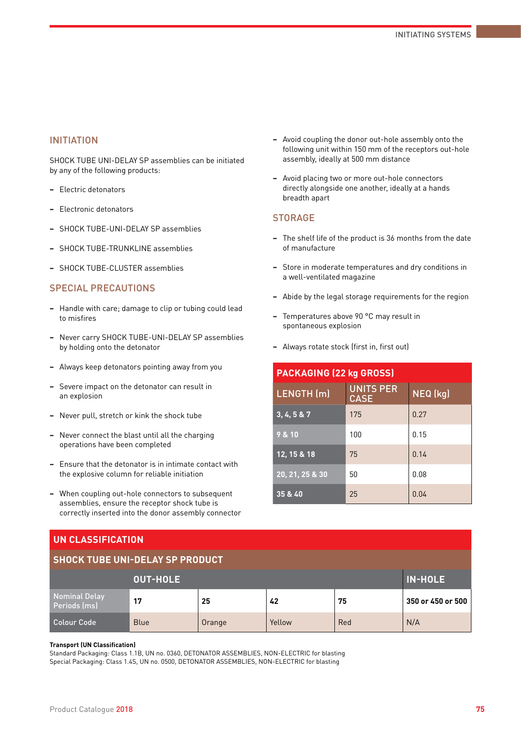SHOCK TUBE UNI-DELAY SP assemblies can be initiated by any of the following products:

- **−** Electric detonators
- **−** Electronic detonators
- **−** SHOCK TUBE-UNI-DELAY SP assemblies
- **−** SHOCK TUBE-TRUNKLINE assemblies
- **−** SHOCK TUBE-CLUSTER assemblies

#### SPECIAL PRECAUTIONS

- **−** Handle with care; damage to clip or tubing could lead to misfires
- **−** Never carry SHOCK TUBE-UNI-DELAY SP assemblies by holding onto the detonator
- **−** Always keep detonators pointing away from you
- **−** Severe impact on the detonator can result in an explosion
- **−** Never pull, stretch or kink the shock tube
- **−** Never connect the blast until all the charging operations have been completed
- **−** Ensure that the detonator is in intimate contact with the explosive column for reliable initiation
- **−** When coupling out-hole connectors to subsequent assemblies, ensure the receptor shock tube is correctly inserted into the donor assembly connector
- **−** Avoid coupling the donor out-hole assembly onto the following unit within 150 mm of the receptors out-hole assembly, ideally at 500 mm distance
- **−** Avoid placing two or more out-hole connectors directly alongside one another, ideally at a hands breadth apart

## **STORAGE**

- **−** The shelf life of the product is 36 months from the date of manufacture
- **−** Store in moderate temperatures and dry conditions in a well-ventilated magazine
- **−** Abide by the legal storage requirements for the region
- **−** Temperatures above 90 °C may result in spontaneous explosion
- **−** Always rotate stock (first in, first out)

| <b>PACKAGING (22 kg GROSS)</b> |                                 |          |  |  |
|--------------------------------|---------------------------------|----------|--|--|
| LENGTH (m)                     | <b>UNITS PER</b><br><b>CASE</b> | NEQ (kg) |  |  |
| 3, 4, 5 & 7                    | 175                             | 0.27     |  |  |
| 9 & 10                         | 100                             | 0.15     |  |  |
| 12, 15 & 18                    | 75                              | 0.14     |  |  |
| 20, 21, 25 & 30                | 50                              | 0.08     |  |  |
| 35 & 40                        | 25                              | 0.04     |  |  |

#### **UN CLASSIFICATION**

|  | <b>SHOCK TUBE UNI-DELAY SP PRODUCT</b> |  |
|--|----------------------------------------|--|
|  |                                        |  |

| ----------------              |                                   |        |        |     |                   |  |  |
|-------------------------------|-----------------------------------|--------|--------|-----|-------------------|--|--|
|                               | <b>IN-HOLE</b><br><b>OUT-HOLE</b> |        |        |     |                   |  |  |
| Nominal Delay<br>Periods (ms) | 17                                | 25     | 42     | 75  | 350 or 450 or 500 |  |  |
| <b>Colour Code</b>            | <b>Blue</b>                       | Orange | Yellow | Red | N/A               |  |  |

#### **Transport (UN Classification)**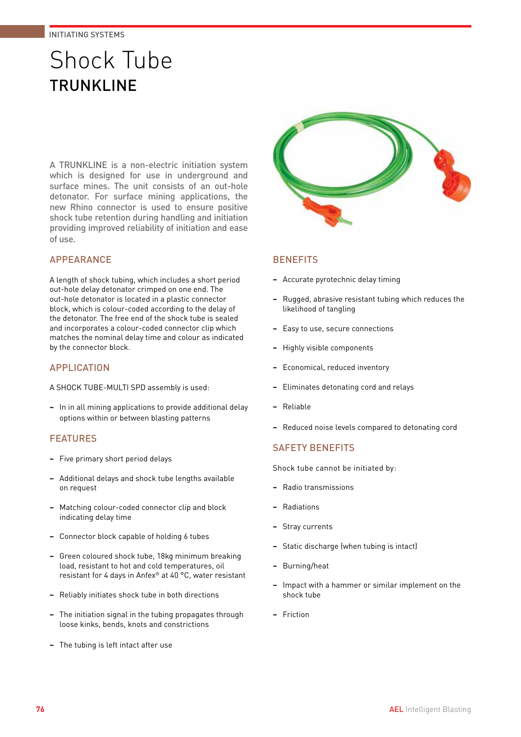# Shock Tube **TRUNKI INF**

A TRUNKLINE is a non-electric initiation system which is designed for use in underground and surface mines. The unit consists of an out-hole detonator. For surface mining applications, the new Rhino connector is used to ensure positive shock tube retention during handling and initiation providing improved reliability of initiation and ease of use.

## APPEARANCE

A length of shock tubing, which includes a short period out-hole delay detonator crimped on one end. The out-hole detonator is located in a plastic connector block, which is colour-coded according to the delay of the detonator. The free end of the shock tube is sealed and incorporates a colour-coded connector clip which matches the nominal delay time and colour as indicated by the connector block.

### APPLICATION

A SHOCK TUBE-MULTI SPD assembly is used:

**−** In in all mining applications to provide additional delay options within or between blasting patterns

## **FEATURES**

- **−** Five primary short period delays
- **−** Additional delays and shock tube lengths available on request
- **−** Matching colour-coded connector clip and block indicating delay time
- **−** Connector block capable of holding 6 tubes
- **−** Green coloured shock tube, 18kg minimum breaking load, resistant to hot and cold temperatures, oil resistant for 4 days in Anfex® at 40 °C, water resistant
- **−** Reliably initiates shock tube in both directions
- **−** The initiation signal in the tubing propagates through loose kinks, bends, knots and constrictions
- **−** The tubing is left intact after use



## **BENEFITS**

- **−** Accurate pyrotechnic delay timing
- **−** Rugged, abrasive resistant tubing which reduces the likelihood of tangling
- **−** Easy to use, secure connections
- **−** Highly visible components
- **−** Economical, reduced inventory
- **−** Eliminates detonating cord and relays
- **−** Reliable
- **−** Reduced noise levels compared to detonating cord

## SAFETY BENEFITS

- **−** Radio transmissions
- **−** Radiations
- **−** Stray currents
- **−** Static discharge (when tubing is intact)
- **−** Burning/heat
- **−** Impact with a hammer or similar implement on the shock tube
- **−** Friction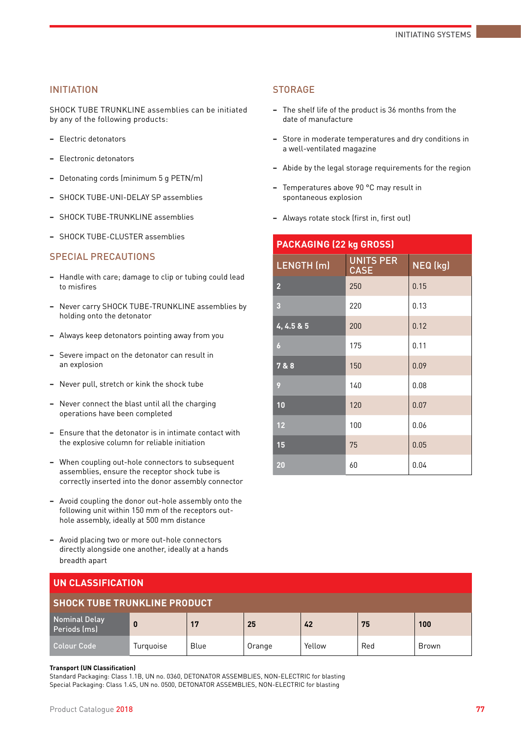SHOCK TUBE TRUNKLINE assemblies can be initiated by any of the following products:

- **−** Electric detonators
- **−** Electronic detonators
- **−** Detonating cords (minimum 5 g PETN/m)
- **−** SHOCK TUBE-UNI-DELAY SP assemblies
- **−** SHOCK TUBE-TRUNKLINE assemblies
- **−** SHOCK TUBE-CLUSTER assemblies

## SPECIAL PRECAUTIONS

- **−** Handle with care; damage to clip or tubing could lead to misfires
- **−** Never carry SHOCK TUBE-TRUNKLINE assemblies by holding onto the detonator
- **−** Always keep detonators pointing away from you
- **−** Severe impact on the detonator can result in an explosion
- **−** Never pull, stretch or kink the shock tube
- **−** Never connect the blast until all the charging operations have been completed
- **−** Ensure that the detonator is in intimate contact with the explosive column for reliable initiation
- **−** When coupling out-hole connectors to subsequent assemblies, ensure the receptor shock tube is correctly inserted into the donor assembly connector
- **−** Avoid coupling the donor out-hole assembly onto the following unit within 150 mm of the receptors outhole assembly, ideally at 500 mm distance
- **−** Avoid placing two or more out-hole connectors directly alongside one another, ideally at a hands breadth apart

#### **STORAGE**

- **−** The shelf life of the product is 36 months from the date of manufacture
- **−** Store in moderate temperatures and dry conditions in a well-ventilated magazine
- **−** Abide by the legal storage requirements for the region
- **−** Temperatures above 90 °C may result in spontaneous explosion
- **−** Always rotate stock (first in, first out)

| <b>PACKAGING (22 kg GROSS)</b> |                                 |          |  |  |
|--------------------------------|---------------------------------|----------|--|--|
| LENGTH (m)                     | <b>UNITS PER</b><br><b>CASE</b> | NEQ (kg) |  |  |
| $\overline{2}$                 | 250                             | 0.15     |  |  |
| 3                              | 220                             | 0.13     |  |  |
| 4, 4.5 & 5                     | 200                             | 0.12     |  |  |
| $\overline{6}$                 | 175                             | 0.11     |  |  |
| 7 & 8                          | 150                             | 0.09     |  |  |
| 9                              | 140                             | 0.08     |  |  |
| 10                             | 120                             | 0.07     |  |  |
| 12                             | 100                             | 0.06     |  |  |
| 15                             | 75                              | 0.05     |  |  |
| 20                             | 60                              | 0.04     |  |  |

| UN CLASSIFICATION                    |           |      |        |        |     |              |
|--------------------------------------|-----------|------|--------|--------|-----|--------------|
| <b>SHOCK TUBE TRUNKLINE PRODUCT</b>  |           |      |        |        |     |              |
| <b>Nominal Delay</b><br>Periods (ms) | $\bf{0}$  | 17   | 25     | 42     | 75  | 100          |
| <b>Colour Code</b>                   | Turquoise | Blue | Orange | Yellow | Red | <b>Brown</b> |

#### **Transport (UN Classification)**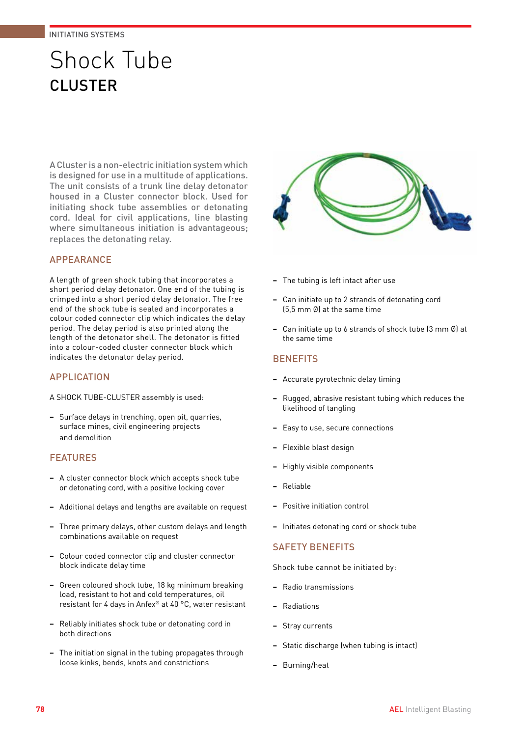# Shock Tube CLUSTER

A Cluster is a non-electric initiation system which is designed for use in a multitude of applications. The unit consists of a trunk line delay detonator housed in a Cluster connector block. Used for initiating shock tube assemblies or detonating cord. Ideal for civil applications, line blasting where simultaneous initiation is advantageous; replaces the detonating relay.

## APPEARANCE

A length of green shock tubing that incorporates a short period delay detonator. One end of the tubing is crimped into a short period delay detonator. The free end of the shock tube is sealed and incorporates a colour coded connector clip which indicates the delay period. The delay period is also printed along the length of the detonator shell. The detonator is fitted into a colour-coded cluster connector block which indicates the detonator delay period.

## **APPLICATION**

A SHOCK TUBE-CLUSTER assembly is used:

**−** Surface delays in trenching, open pit, quarries, surface mines, civil engineering projects and demolition

## **FEATURES**

- **−** A cluster connector block which accepts shock tube or detonating cord, with a positive locking cover
- **−** Additional delays and lengths are available on request
- **−** Three primary delays, other custom delays and length combinations available on request
- **−** Colour coded connector clip and cluster connector block indicate delay time
- **−** Green coloured shock tube, 18 kg minimum breaking load, resistant to hot and cold temperatures, oil resistant for 4 days in Anfex® at 40 °C, water resistant
- **−** Reliably initiates shock tube or detonating cord in both directions
- **−** The initiation signal in the tubing propagates through loose kinks, bends, knots and constrictions



- **−** The tubing is left intact after use
- **−** Can initiate up to 2 strands of detonating cord (5,5 mm Ø) at the same time
- **−** Can initiate up to 6 strands of shock tube (3 mm Ø) at the same time

## **BENEFITS**

- **−** Accurate pyrotechnic delay timing
- **−** Rugged, abrasive resistant tubing which reduces the likelihood of tangling
- **−** Easy to use, secure connections
- **−** Flexible blast design
- **−** Highly visible components
- **−** Reliable
- **−** Positive initiation control
- **−** Initiates detonating cord or shock tube

## SAFETY BENEFITS

- **−** Radio transmissions
- **−** Radiations
- **−** Stray currents
- **−** Static discharge (when tubing is intact)
- **−** Burning/heat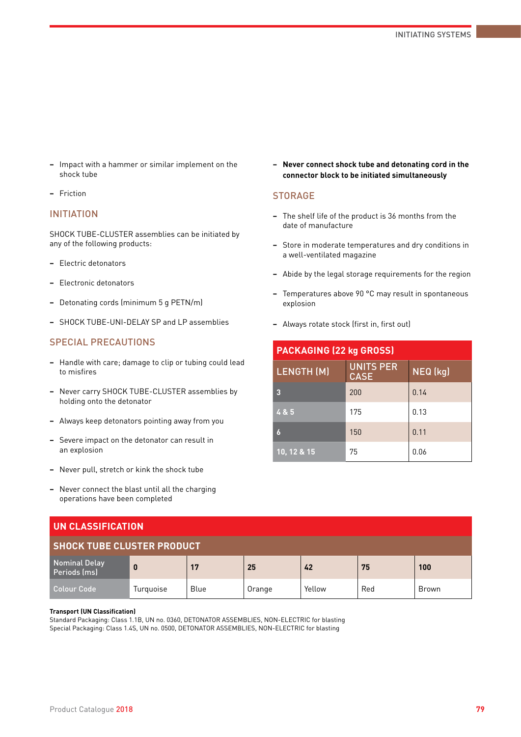- **−** Impact with a hammer or similar implement on the shock tube
- **−** Friction

SHOCK TUBE-CLUSTER assemblies can be initiated by any of the following products:

- **−** Electric detonators
- **−** Electronic detonators
- **−** Detonating cords (minimum 5 g PETN/m)
- **−** SHOCK TUBE-UNI-DELAY SP and LP assemblies

## SPECIAL PRECAUTIONS

- **−** Handle with care; damage to clip or tubing could lead to misfires
- **−** Never carry SHOCK TUBE-CLUSTER assemblies by holding onto the detonator
- **−** Always keep detonators pointing away from you
- **−** Severe impact on the detonator can result in an explosion
- **−** Never pull, stretch or kink the shock tube
- **−** Never connect the blast until all the charging operations have been completed

**− Never connect shock tube and detonating cord in the connector block to be initiated simultaneously**

#### **STORAGE**

- **−** The shelf life of the product is 36 months from the date of manufacture
- **−** Store in moderate temperatures and dry conditions in a well-ventilated magazine
- **−** Abide by the legal storage requirements for the region
- **−** Temperatures above 90 °C may result in spontaneous explosion
- **−** Always rotate stock (first in, first out)

| <b>PACKAGING (22 kg GROSS)</b> |                                             |      |  |
|--------------------------------|---------------------------------------------|------|--|
| <b>LENGTH (M)</b>              | <b>UNITS PER</b><br>NEQ (kg)<br><b>CASE</b> |      |  |
| 3                              | 200                                         | 0.14 |  |
| 4 & 5                          | 175                                         | 0.13 |  |
| 6                              | 150                                         | 0.11 |  |
| 10, 12 & 15                    | 75                                          | 0.06 |  |

| UN CLASSIFICATION                    |           |      |        |        |     |              |
|--------------------------------------|-----------|------|--------|--------|-----|--------------|
| <b>SHOCK TUBE CLUSTER PRODUCT</b>    |           |      |        |        |     |              |
| <b>Nominal Delay</b><br>Periods (ms) | $\bf{0}$  | 17   | 25     | 42     | 75  | 100          |
| <b>Colour Code</b>                   | Turquoise | Blue | Orange | Yellow | Red | <b>Brown</b> |

#### **Transport (UN Classification)**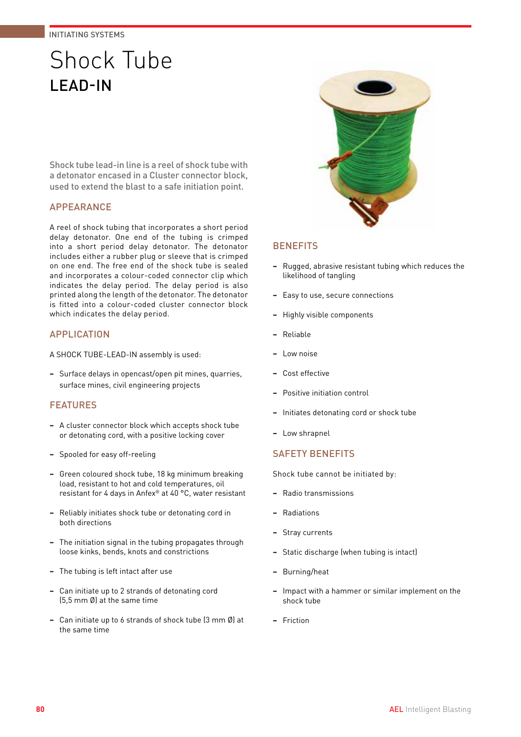# Shock Tube LEAD-IN

Shock tube lead-in line is a reel of shock tube with a detonator encased in a Cluster connector block, used to extend the blast to a safe initiation point.

## APPEARANCE

A reel of shock tubing that incorporates a short period delay detonator. One end of the tubing is crimped into a short period delay detonator. The detonator includes either a rubber plug or sleeve that is crimped on one end. The free end of the shock tube is sealed and incorporates a colour-coded connector clip which indicates the delay period. The delay period is also printed along the length of the detonator. The detonator is fitted into a colour-coded cluster connector block which indicates the delay period.

## APPLICATION

A SHOCK TUBE-LEAD-IN assembly is used:

**−** Surface delays in opencast/open pit mines, quarries, surface mines, civil engineering projects

## FEATURES

- **−** A cluster connector block which accepts shock tube or detonating cord, with a positive locking cover
- **−** Spooled for easy off-reeling
- **−** Green coloured shock tube, 18 kg minimum breaking load, resistant to hot and cold temperatures, oil resistant for 4 days in Anfex® at 40 °C, water resistant
- **−** Reliably initiates shock tube or detonating cord in both directions
- **−** The initiation signal in the tubing propagates through loose kinks, bends, knots and constrictions
- **−** The tubing is left intact after use
- **−** Can initiate up to 2 strands of detonating cord (5,5 mm Ø) at the same time
- **−** Can initiate up to 6 strands of shock tube (3 mm Ø) at the same time



### **BENEFITS**

- **−** Rugged, abrasive resistant tubing which reduces the likelihood of tangling
- **−** Easy to use, secure connections
- **−** Highly visible components
- **−** Reliable
- **−** Low noise
- **−** Cost effective
- **−** Positive initiation control
- **−** Initiates detonating cord or shock tube
- **−** Low shrapnel

## SAFETY BENEFITS

- **−** Radio transmissions
- **−** Radiations
- **−** Stray currents
- **−** Static discharge (when tubing is intact)
- **−** Burning/heat
- **−** Impact with a hammer or similar implement on the shock tube
- **−** Friction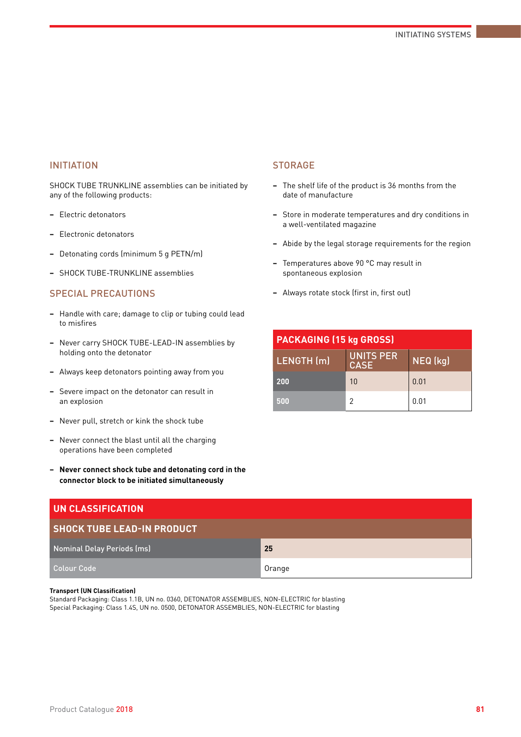SHOCK TUBE TRUNKLINE assemblies can be initiated by any of the following products:

- **−** Electric detonators
- **−** Electronic detonators
- **−** Detonating cords (minimum 5 g PETN/m)
- **−** SHOCK TUBE-TRUNKLINE assemblies

## SPECIAL PRECAUTIONS

- **−** Handle with care; damage to clip or tubing could lead to misfires
- **−** Never carry SHOCK TUBE-LEAD-IN assemblies by holding onto the detonator
- **−** Always keep detonators pointing away from you
- **−** Severe impact on the detonator can result in an explosion
- **−** Never pull, stretch or kink the shock tube
- **−** Never connect the blast until all the charging operations have been completed
- **− Never connect shock tube and detonating cord in the connector block to be initiated simultaneously**

## **UN CLASSIFICATION SHOCK TUBE LEAD-IN PRODUCT** Nominal Delay Periods (ms) **25** Colour Code Contract Contract Contract Contract Contract Contract Contract Contract Contract Contract Contract Contract Contract Contract Contract Contract Contract Contract Contract Contract Contract Contract Contract Con

#### **Transport (UN Classification)**

Standard Packaging: Class 1.1B, UN no. 0360, DETONATOR ASSEMBLIES, NON-ELECTRIC for blasting Special Packaging: Class 1.4S, UN no. 0500, DETONATOR ASSEMBLIES, NON-ELECTRIC for blasting

### **STORAGE**

- **−** The shelf life of the product is 36 months from the date of manufacture
- **−** Store in moderate temperatures and dry conditions in a well-ventilated magazine
- **−** Abide by the legal storage requirements for the region
- **−** Temperatures above 90 °C may result in spontaneous explosion
- **−** Always rotate stock (first in, first out)

| <b>PACKAGING (15 kg GROSS)</b> |                                 |          |  |
|--------------------------------|---------------------------------|----------|--|
| LENGTH (m)                     | <b>UNITS PER</b><br><b>CASE</b> | NEQ (kg) |  |
| 200                            | 10                              | 0.01     |  |
| 500                            |                                 | 0.01     |  |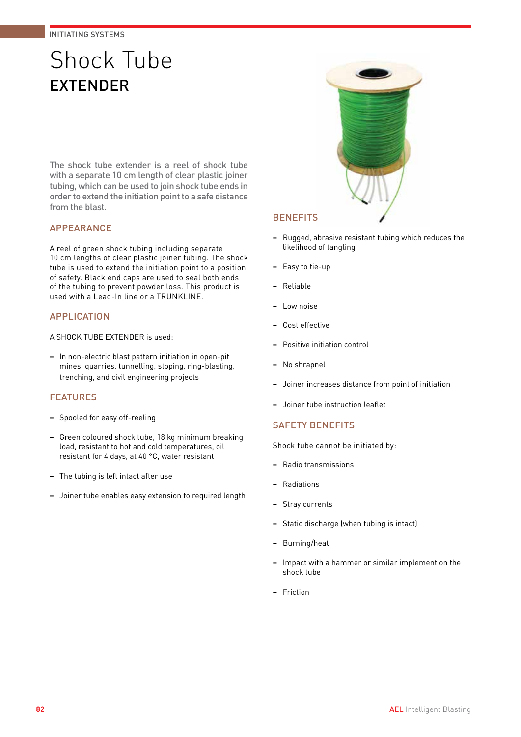# Shock Tube EXTENDER

The shock tube extender is a reel of shock tube with a separate 10 cm length of clear plastic joiner tubing, which can be used to join shock tube ends in order to extend the initiation point to a safe distance from the blast.

## APPEARANCE

A reel of green shock tubing including separate 10 cm lengths of clear plastic joiner tubing. The shock tube is used to extend the initiation point to a position of safety. Black end caps are used to seal both ends of the tubing to prevent powder loss. This product is used with a Lead-In line or a TRUNKLINE.

## APPLICATION

A SHOCK TUBE EXTENDER is used:

**−** In non-electric blast pattern initiation in open-pit mines, quarries, tunnelling, stoping, ring-blasting, trenching, and civil engineering projects

## FEATURES

- **−** Spooled for easy off-reeling
- **−** Green coloured shock tube, 18 kg minimum breaking load, resistant to hot and cold temperatures, oil resistant for 4 days, at 40 °C, water resistant
- **−** The tubing is left intact after use
- **−** Joiner tube enables easy extension to required length



## **BENEFITS**

- **−** Rugged, abrasive resistant tubing which reduces the likelihood of tangling
- **−** Easy to tie-up
- **−** Reliable
- **−** Low noise
- **−** Cost effective
- **−** Positive initiation control
- **−** No shrapnel
- **−** Joiner increases distance from point of initiation
- **−** Joiner tube instruction leaflet

### SAFETY BENEFITS

- **−** Radio transmissions
- **−** Radiations
- **−** Stray currents
- **−** Static discharge (when tubing is intact)
- **−** Burning/heat
- **−** Impact with a hammer or similar implement on the shock tube
- **−** Friction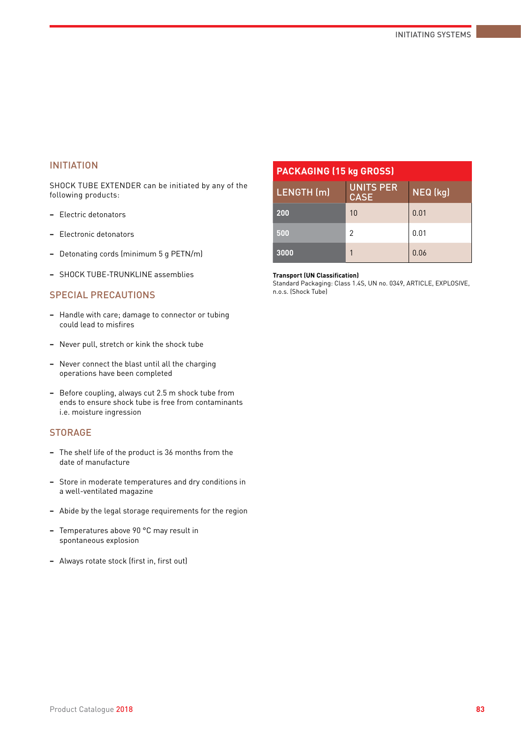SHOCK TUBE EXTENDER can be initiated by any of the following products:

- **−** Electric detonators
- **−** Electronic detonators
- **−** Detonating cords (minimum 5 g PETN/m)
- **−** SHOCK TUBE-TRUNKLINE assemblies

### SPECIAL PRECAUTIONS

- **−** Handle with care; damage to connector or tubing could lead to misfires
- **−** Never pull, stretch or kink the shock tube
- **−** Never connect the blast until all the charging operations have been completed
- **−** Before coupling, always cut 2.5 m shock tube from ends to ensure shock tube is free from contaminants i.e. moisture ingression

#### **STORAGE**

- **−** The shelf life of the product is 36 months from the date of manufacture
- **−** Store in moderate temperatures and dry conditions in a well-ventilated magazine
- **−** Abide by the legal storage requirements for the region
- **−** Temperatures above 90 °C may result in spontaneous explosion
- **−** Always rotate stock (first in, first out)

| <b>PACKAGING (15 kg GROSS)</b> |                          |          |  |
|--------------------------------|--------------------------|----------|--|
| LENGTH (m)                     | UNITS PER<br><b>CASE</b> | NEQ (kg) |  |
| 200                            | 10                       | 0.01     |  |
| 500                            | 2                        | 0.01     |  |
| 3000                           |                          | 0.06     |  |

#### **Transport (UN Classification)**

Standard Packaging: Class 1.4S, UN no. 0349, ARTICLE, EXPLOSIVE, n.o.s. (Shock Tube)